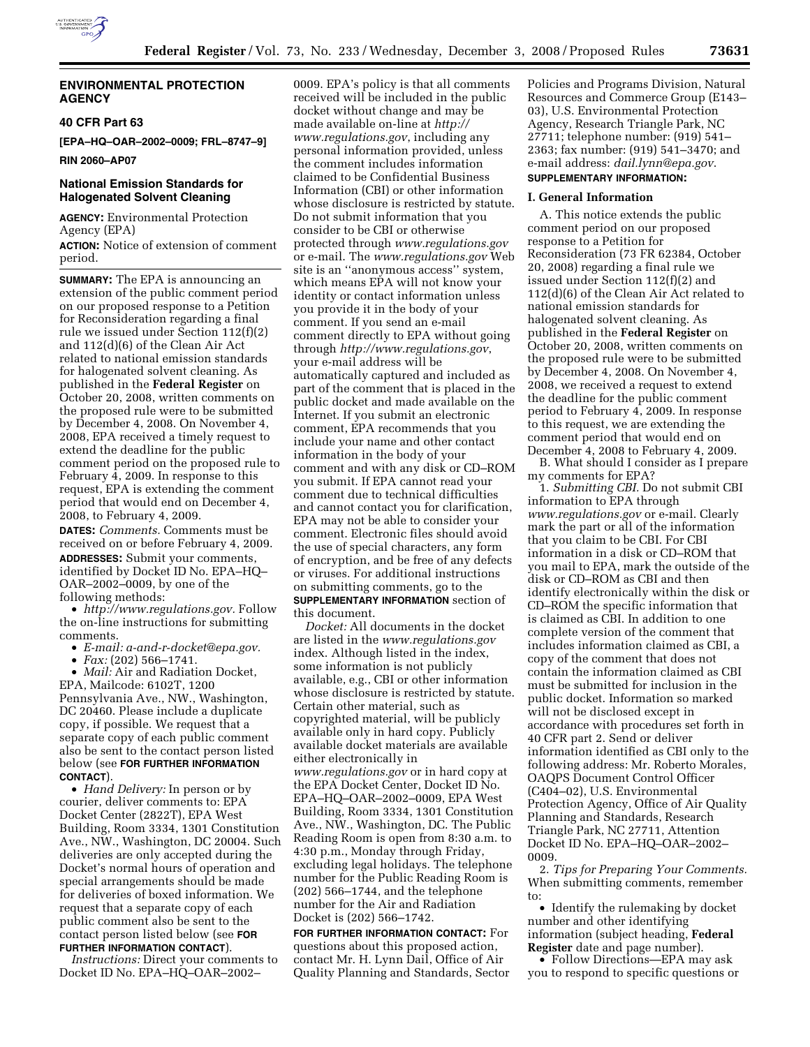

# **ENVIRONMENTAL PROTECTION AGENCY**

### **40 CFR Part 63**

**[EPA–HQ–OAR–2002–0009; FRL–8747–9]** 

**RIN 2060–AP07** 

# **National Emission Standards for Halogenated Solvent Cleaning**

**AGENCY:** Environmental Protection Agency (EPA)

**ACTION:** Notice of extension of comment period.

**SUMMARY:** The EPA is announcing an extension of the public comment period on our proposed response to a Petition for Reconsideration regarding a final rule we issued under Section 112(f)(2) and 112(d)(6) of the Clean Air Act related to national emission standards for halogenated solvent cleaning. As published in the **Federal Register** on October 20, 2008, written comments on the proposed rule were to be submitted by December 4, 2008. On November 4, 2008, EPA received a timely request to extend the deadline for the public comment period on the proposed rule to February 4, 2009. In response to this request, EPA is extending the comment period that would end on December 4, 2008, to February 4, 2009.

**DATES:** *Comments.* Comments must be received on or before February 4, 2009. **ADDRESSES:** Submit your comments, identified by Docket ID No. EPA–HQ– OAR–2002–0009, by one of the following methods:

• *http://www.regulations.gov.* Follow the on-line instructions for submitting comments.

• *E-mail: a-and-r-docket@epa.gov.* 

• *Fax:* (202) 566–1741.

• *Mail:* Air and Radiation Docket, EPA, Mailcode: 6102T, 1200 Pennsylvania Ave., NW., Washington, DC 20460. Please include a duplicate copy, if possible. We request that a separate copy of each public comment also be sent to the contact person listed below (see **FOR FURTHER INFORMATION CONTACT**).

• *Hand Delivery:* In person or by courier, deliver comments to: EPA Docket Center (2822T), EPA West Building, Room 3334, 1301 Constitution Ave., NW., Washington, DC 20004. Such deliveries are only accepted during the Docket's normal hours of operation and special arrangements should be made for deliveries of boxed information. We request that a separate copy of each public comment also be sent to the contact person listed below (see **FOR FURTHER INFORMATION CONTACT**).

*Instructions:* Direct your comments to Docket ID No. EPA–HQ–OAR–2002–

0009. EPA's policy is that all comments received will be included in the public docket without change and may be made available on-line at *http:// www.regulations.gov*, including any personal information provided, unless the comment includes information claimed to be Confidential Business Information (CBI) or other information whose disclosure is restricted by statute. Do not submit information that you consider to be CBI or otherwise protected through *www.regulations.gov*  or e-mail. The *www.regulations.gov* Web site is an ''anonymous access'' system, which means EPA will not know your identity or contact information unless you provide it in the body of your comment. If you send an e-mail comment directly to EPA without going through *http://www.regulations.gov*, your e-mail address will be automatically captured and included as part of the comment that is placed in the public docket and made available on the Internet. If you submit an electronic comment, EPA recommends that you include your name and other contact information in the body of your comment and with any disk or CD–ROM you submit. If EPA cannot read your comment due to technical difficulties and cannot contact you for clarification, EPA may not be able to consider your comment. Electronic files should avoid the use of special characters, any form of encryption, and be free of any defects or viruses. For additional instructions on submitting comments, go to the **SUPPLEMENTARY INFORMATION** section of this document.

*Docket:* All documents in the docket are listed in the *www.regulations.gov*  index. Although listed in the index, some information is not publicly available, e.g., CBI or other information whose disclosure is restricted by statute. Certain other material, such as copyrighted material, will be publicly available only in hard copy. Publicly available docket materials are available either electronically in *www.regulations.gov* or in hard copy at the EPA Docket Center, Docket ID No. EPA–HQ–OAR–2002–0009, EPA West Building, Room 3334, 1301 Constitution Ave., NW., Washington, DC. The Public Reading Room is open from 8:30 a.m. to 4:30 p.m., Monday through Friday, excluding legal holidays. The telephone number for the Public Reading Room is (202) 566–1744, and the telephone number for the Air and Radiation Docket is (202) 566–1742.

**FOR FURTHER INFORMATION CONTACT:** For questions about this proposed action, contact Mr. H. Lynn Dail, Office of Air Quality Planning and Standards, Sector Policies and Programs Division, Natural Resources and Commerce Group (E143– 03), U.S. Environmental Protection Agency, Research Triangle Park, NC 27711; telephone number: (919) 541– 2363; fax number: (919) 541–3470; and e-mail address: *dail.lynn@epa.gov*. **SUPPLEMENTARY INFORMATION:** 

# **I. General Information**

A. This notice extends the public comment period on our proposed response to a Petition for Reconsideration (73 FR 62384, October 20, 2008) regarding a final rule we issued under Section 112(f)(2) and 112(d)(6) of the Clean Air Act related to national emission standards for halogenated solvent cleaning. As published in the **Federal Register** on October 20, 2008, written comments on the proposed rule were to be submitted by December 4, 2008. On November 4, 2008, we received a request to extend the deadline for the public comment period to February 4, 2009. In response to this request, we are extending the comment period that would end on December 4, 2008 to February 4, 2009.

B. What should I consider as I prepare my comments for EPA?

1. *Submitting CBI.* Do not submit CBI information to EPA through *www.regulations.gov* or e-mail. Clearly mark the part or all of the information that you claim to be CBI. For CBI information in a disk or CD–ROM that you mail to EPA, mark the outside of the disk or CD–ROM as CBI and then identify electronically within the disk or CD–ROM the specific information that is claimed as CBI. In addition to one complete version of the comment that includes information claimed as CBI, a copy of the comment that does not contain the information claimed as CBI must be submitted for inclusion in the public docket. Information so marked will not be disclosed except in accordance with procedures set forth in 40 CFR part 2. Send or deliver information identified as CBI only to the following address: Mr. Roberto Morales, OAQPS Document Control Officer (C404–02), U.S. Environmental Protection Agency, Office of Air Quality Planning and Standards, Research Triangle Park, NC 27711, Attention Docket ID No. EPA–HQ–OAR–2002– 0009.

2. *Tips for Preparing Your Comments.*  When submitting comments, remember to:

• Identify the rulemaking by docket number and other identifying information (subject heading, **Federal Register** date and page number).

• Follow Directions—EPA may ask you to respond to specific questions or